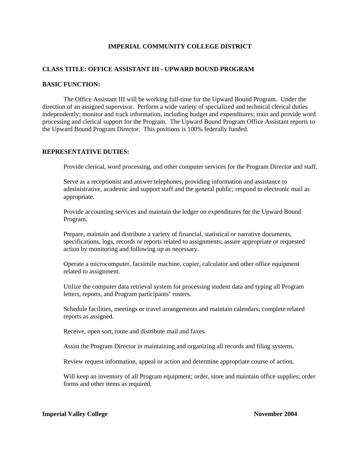## **IMPERIAL COMMUNITY COLLEGE DISTRICT**

## **CLASS TITLE: OFFICE ASSISTANT III - UPWARD BOUND PROGRAM**

### **BASIC FUNCTION:**

The Office Assistant III will be working full-time for the Upward Bound Program. Under the direction of an assigned supervisor. Perform a wide variety of specialized and technical clerical duties independently; monitor and track information, including budget and expenditures; train and provide word processing and clerical support for the Program. The Upward Bound Program Office Assistant reports to the Upward Bound Program Director. This positions is 100% federally funded.

## **REPRESENTATIVE DUTIES:**

Provide clerical, word processing, and other computer services for the Program Director and staff.

Serve as a receptionist and answer telephones, providing information and assistance to administrative, academic and support staff and the general public; respond to electronic mail as appropriate.

Provide accounting services and maintain the ledger on expenditures for the Upward Bound Program.

Prepare, maintain and distribute a variety of financial, statistical or narrative documents, specifications, logs, records or reports related to assignments; assure appropriate or requested action by monitoring and following up as necessary.

Operate a microcomputer, facsimile machine, copier, calculator and other office equipment related to assignment.

Utilize the computer data retrieval system for processing student data and typing all Program letters, reports, and Program participants' rosters.

Schedule facilities, meetings or travel arrangements and maintain calendars; complete related reports as assigned.

Receive, open sort, route and distribute mail and faxes.

Assist the Program Director in maintaining and organizing all records and filing systems.

Review request information, appeal or action and determine appropriate course of action.

Will keep an inventory of all Program equipment; order, store and maintain office supplies; order forms and other items as required.

## **Imperial Valley College November 2004**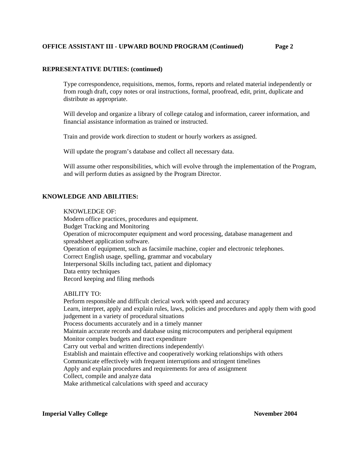# **OFFICE ASSISTANT III - UPWARD BOUND PROGRAM (Continued) Page 2**

# **REPRESENTATIVE DUTIES: (continued)**

Type correspondence, requisitions, memos, forms, reports and related material independently or from rough draft, copy notes or oral instructions, formal, proofread, edit, print, duplicate and distribute as appropriate.

Will develop and organize a library of college catalog and information, career information, and financial assistance information as trained or instructed.

Train and provide work direction to student or hourly workers as assigned.

Will update the program's database and collect all necessary data.

Will assume other responsibilities, which will evolve through the implementation of the Program, and will perform duties as assigned by the Program Director.

### **KNOWLEDGE AND ABILITIES:**

#### KNOWLEDGE OF:

Modern office practices, procedures and equipment. Budget Tracking and Monitoring Operation of microcomputer equipment and word processing, database management and spreadsheet application software. Operation of equipment, such as facsimile machine, copier and electronic telephones. Correct English usage, spelling, grammar and vocabulary Interpersonal Skills including tact, patient and diplomacy Data entry techniques Record keeping and filing methods

### ABILITY TO:

Perform responsible and difficult clerical work with speed and accuracy Learn, interpret, apply and explain rules, laws, policies and procedures and apply them with good judgement in a variety of procedural situations Process documents accurately and in a timely manner Maintain accurate records and database using microcomputers and peripheral equipment Monitor complex budgets and tract expenditure Carry out verbal and written directions independently\ Establish and maintain effective and cooperatively working relationships with others Communicate effectively with frequent interruptions and stringent timelines Apply and explain procedures and requirements for area of assignment Collect, compile and analyze data Make arithmetical calculations with speed and accuracy

#### **Imperial Valley College 2004** November 2004